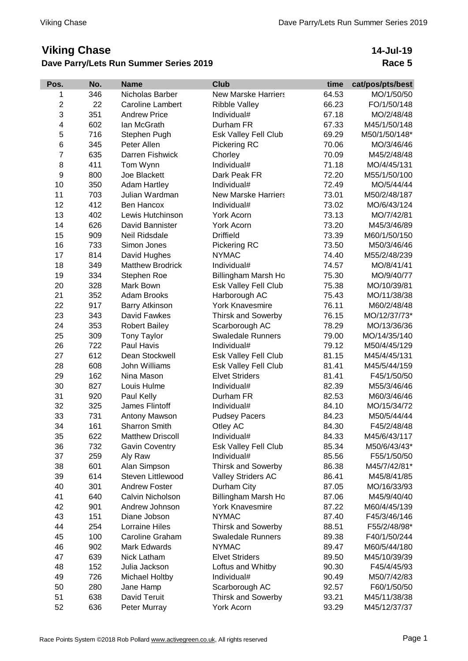## **Viking Chase**

## **Dave Parry/Lets Run Summer Series 2019**

## **14-Jul-19 Race 5**

| Pos.           | No. | <b>Name</b>             | <b>Club</b>                 | time  | cat/pos/pts/best |
|----------------|-----|-------------------------|-----------------------------|-------|------------------|
| 1              | 346 | Nicholas Barber         | <b>New Marske Harriers</b>  | 64.53 | MO/1/50/50       |
| $\overline{c}$ | 22  | <b>Caroline Lambert</b> | <b>Ribble Valley</b>        | 66.23 | FO/1/50/148      |
| 3              | 351 | <b>Andrew Price</b>     | Individual#                 | 67.18 | MO/2/48/48       |
| 4              | 602 | lan McGrath             | Durham FR                   | 67.33 | M45/1/50/148     |
| 5              | 716 | Stephen Pugh            | Esk Valley Fell Club        | 69.29 | M50/1/50/148*    |
| 6              | 345 | Peter Allen             | Pickering RC                | 70.06 | MO/3/46/46       |
| $\overline{7}$ | 635 | Darren Fishwick         | Chorley                     | 70.09 | M45/2/48/48      |
| 8              | 411 | Tom Wynn                | Individual#                 | 71.18 | MO/4/45/131      |
| 9              | 800 | Joe Blackett            | Dark Peak FR                | 72.20 | M55/1/50/100     |
| 10             | 350 | <b>Adam Hartley</b>     | Individual#                 | 72.49 | MO/5/44/44       |
| 11             | 703 | Julian Wardman          | <b>New Marske Harriers</b>  | 73.01 | M50/2/48/187     |
| 12             | 412 | <b>Ben Hancox</b>       | Individual#                 | 73.02 | MO/6/43/124      |
| 13             | 402 | Lewis Hutchinson        | York Acorn                  | 73.13 | MO/7/42/81       |
| 14             | 626 | David Bannister         | York Acorn                  | 73.20 | M45/3/46/89      |
| 15             | 909 | Neil Ridsdale           | <b>Driffield</b>            | 73.39 | M60/1/50/150     |
| 16             | 733 | Simon Jones             | Pickering RC                | 73.50 | M50/3/46/46      |
| 17             | 814 | David Hughes            | <b>NYMAC</b>                | 74.40 | M55/2/48/239     |
| 18             | 349 | <b>Matthew Brodrick</b> | Individual#                 | 74.57 | MO/8/41/41       |
| 19             | 334 | Stephen Roe             | Billingham Marsh Ho         | 75.30 | MO/9/40/77       |
| 20             | 328 | Mark Bown               | <b>Esk Valley Fell Club</b> | 75.38 | MO/10/39/81      |
| 21             | 352 | <b>Adam Brooks</b>      | Harborough AC               | 75.43 | MO/11/38/38      |
| 22             | 917 | <b>Barry Atkinson</b>   | <b>York Knavesmire</b>      | 76.11 | M60/2/48/48      |
| 23             | 343 | David Fawkes            | <b>Thirsk and Sowerby</b>   | 76.15 | MO/12/37/73*     |
| 24             | 353 | <b>Robert Bailey</b>    | Scarborough AC              | 78.29 | MO/13/36/36      |
| 25             | 309 | <b>Tony Taylor</b>      | <b>Swaledale Runners</b>    | 79.00 | MO/14/35/140     |
| 26             | 722 | Paul Havis              | Individual#                 | 79.12 | M50/4/45/129     |
| 27             | 612 | Dean Stockwell          | Esk Valley Fell Club        | 81.15 | M45/4/45/131     |
| 28             | 608 | John Williams           | <b>Esk Valley Fell Club</b> | 81.41 | M45/5/44/159     |
| 29             | 162 | Nina Mason              | <b>Elvet Striders</b>       | 81.41 | F45/1/50/50      |
| 30             | 827 | Louis Hulme             | Individual#                 | 82.39 | M55/3/46/46      |
| 31             | 920 | Paul Kelly              | Durham FR                   | 82.53 | M60/3/46/46      |
| 32             | 325 | James Flintoff          | Individual#                 | 84.10 | MO/15/34/72      |
| 33             | 731 | Antony Mawson           | <b>Pudsey Pacers</b>        | 84.23 | M50/5/44/44      |
| 34             | 161 | <b>Sharron Smith</b>    | Otley AC                    | 84.30 | F45/2/48/48      |
| 35             | 622 | <b>Matthew Driscoll</b> | Individual#                 | 84.33 | M45/6/43/117     |
| 36             | 732 | <b>Gavin Coventry</b>   | <b>Esk Valley Fell Club</b> | 85.34 | M50/6/43/43*     |
| 37             | 259 | Aly Raw                 | Individual#                 | 85.56 | F55/1/50/50      |
| 38             | 601 | Alan Simpson            | <b>Thirsk and Sowerby</b>   | 86.38 | M45/7/42/81*     |
| 39             | 614 | Steven Littlewood       | <b>Valley Striders AC</b>   | 86.41 | M45/8/41/85      |
| 40             | 301 | <b>Andrew Foster</b>    | Durham City                 | 87.05 | MO/16/33/93      |
| 41             | 640 | Calvin Nicholson        | Billingham Marsh Ho         | 87.06 | M45/9/40/40      |
| 42             | 901 | Andrew Johnson          | <b>York Knavesmire</b>      | 87.22 | M60/4/45/139     |
| 43             | 151 | Diane Jobson            | <b>NYMAC</b>                | 87.40 | F45/3/46/146     |
| 44             | 254 | <b>Lorraine Hiles</b>   | <b>Thirsk and Sowerby</b>   | 88.51 | F55/2/48/98*     |
| 45             | 100 | Caroline Graham         | <b>Swaledale Runners</b>    | 89.38 | F40/1/50/244     |
| 46             | 902 | Mark Edwards            | <b>NYMAC</b>                | 89.47 | M60/5/44/180     |
| 47             | 639 | Nick Latham             | <b>Elvet Striders</b>       | 89.50 | M45/10/39/39     |
| 48             | 152 | Julia Jackson           | Loftus and Whitby           | 90.30 | F45/4/45/93      |
| 49             | 726 | Michael Holtby          | Individual#                 | 90.49 | M50/7/42/83      |
| 50             | 280 | Jane Hamp               | Scarborough AC              | 92.57 | F60/1/50/50      |
| 51             | 638 | David Teruit            | <b>Thirsk and Sowerby</b>   | 93.21 | M45/11/38/38     |
| 52             | 636 | Peter Murray            | York Acorn                  | 93.29 | M45/12/37/37     |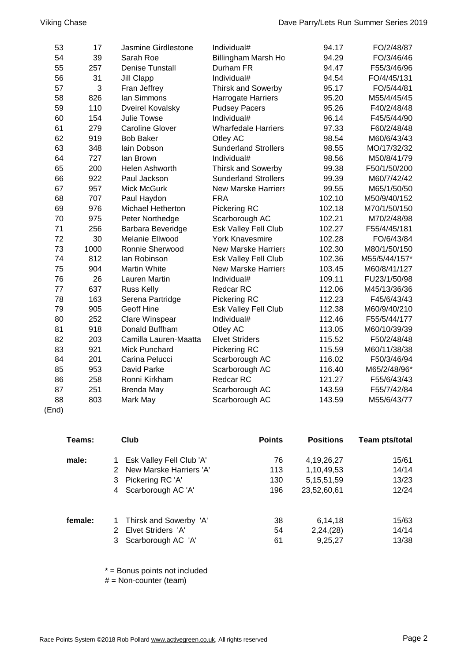| 53 | 17   | Jasmine Girdlestone      | Individual#                 | 94.17  | FO/2/48/87    |
|----|------|--------------------------|-----------------------------|--------|---------------|
| 54 | 39   | Sarah Roe                | Billingham Marsh Ho         | 94.29  | FO/3/46/46    |
| 55 | 257  | <b>Denise Tunstall</b>   | Durham FR                   | 94.47  | F55/3/46/96   |
| 56 | 31   | <b>Jill Clapp</b>        | Individual#                 | 94.54  | FO/4/45/131   |
| 57 | 3    | Fran Jeffrey             | <b>Thirsk and Sowerby</b>   | 95.17  | FO/5/44/81    |
| 58 | 826  | lan Simmons              | <b>Harrogate Harriers</b>   | 95.20  | M55/4/45/45   |
| 59 | 110  | <b>Dveirel Kovalsky</b>  | <b>Pudsey Pacers</b>        | 95.26  | F40/2/48/48   |
| 60 | 154  | Julie Towse              | Individual#                 | 96.14  | F45/5/44/90   |
| 61 | 279  | <b>Caroline Glover</b>   | <b>Wharfedale Harriers</b>  | 97.33  | F60/2/48/48   |
| 62 | 919  | <b>Bob Baker</b>         | Otley AC                    | 98.54  | M60/6/43/43   |
| 63 | 348  | lain Dobson              | <b>Sunderland Strollers</b> | 98.55  | MO/17/32/32   |
| 64 | 727  | lan Brown                | Individual#                 | 98.56  | M50/8/41/79   |
| 65 | 200  | Helen Ashworth           | <b>Thirsk and Sowerby</b>   | 99.38  | F50/1/50/200  |
| 66 | 922  | Paul Jackson             | <b>Sunderland Strollers</b> | 99.39  | M60/7/42/42   |
| 67 | 957  | Mick McGurk              | <b>New Marske Harriers</b>  | 99.55  | M65/1/50/50   |
| 68 | 707  | Paul Haydon              | <b>FRA</b>                  | 102.10 | M50/9/40/152  |
| 69 | 976  | <b>Michael Hetherton</b> | Pickering RC                | 102.18 | M70/1/50/150  |
| 70 | 975  | Peter Northedge          | Scarborough AC              | 102.21 | M70/2/48/98   |
| 71 | 256  | Barbara Beveridge        | Esk Valley Fell Club        | 102.27 | F55/4/45/181  |
| 72 | 30   | Melanie Ellwood          | <b>York Knavesmire</b>      | 102.28 | FO/6/43/84    |
| 73 | 1000 | Ronnie Sherwood          | <b>New Marske Harriers</b>  | 102.30 | M80/1/50/150  |
| 74 | 812  | lan Robinson             | Esk Valley Fell Club        | 102.36 | M55/5/44/157* |
| 75 | 904  | <b>Martin White</b>      | <b>New Marske Harriers</b>  | 103.45 | M60/8/41/127  |
| 76 | 26   | <b>Lauren Martin</b>     | Individual#                 | 109.11 | FU23/1/50/98  |
| 77 | 637  | <b>Russ Kelly</b>        | Redcar RC                   | 112.06 | M45/13/36/36  |
| 78 | 163  | Serena Partridge         | Pickering RC                | 112.23 | F45/6/43/43   |
| 79 | 905  | <b>Geoff Hine</b>        | Esk Valley Fell Club        | 112.38 | M60/9/40/210  |
| 80 | 252  | Clare Winspear           | Individual#                 | 112.46 | F55/5/44/177  |
| 81 | 918  | Donald Buffham           | Otley AC                    | 113.05 | M60/10/39/39  |
| 82 | 203  | Camilla Lauren-Maatta    | <b>Elvet Striders</b>       | 115.52 | F50/2/48/48   |
| 83 | 921  | Mick Punchard            | Pickering RC                | 115.59 | M60/11/38/38  |
| 84 | 201  | Carina Pelucci           | Scarborough AC              | 116.02 | F50/3/46/94   |
| 85 | 953  | David Parke              | Scarborough AC              | 116.40 | M65/2/48/96*  |
| 86 | 258  | Ronni Kirkham            | <b>Redcar RC</b>            | 121.27 | F55/6/43/43   |
| 87 | 251  | <b>Brenda May</b>        | Scarborough AC              | 143.59 | F55/7/42/84   |
| 88 | 803  | Mark May                 | Scarborough AC              | 143.59 | M55/6/43/77   |

<sup>(</sup>End)

| Teams:  | Club                         | <b>Points</b> | <b>Positions</b> | Team pts/total |
|---------|------------------------------|---------------|------------------|----------------|
| male:   | Esk Valley Fell Club 'A'     | 76            | 4, 19, 26, 27    | 15/61          |
|         | New Marske Harriers 'A'<br>2 | 113           | 1,10,49,53       | 14/14          |
|         | 3 Pickering RC 'A'           | 130           | 5, 15, 51, 59    | 13/23          |
|         | 4 Scarborough AC 'A'         | 196           | 23,52,60,61      | 12/24          |
| female: | Thirsk and Sowerby 'A'       | 38            | 6,14,18          | 15/63          |
|         | Elvet Striders 'A'<br>2      | 54            | 2,24,(28)        | 14/14          |
|         | Scarborough AC 'A'<br>3      | 61            | 9,25,27          | 13/38          |

\* = Bonus points not included

 $#$  = Non-counter (team)